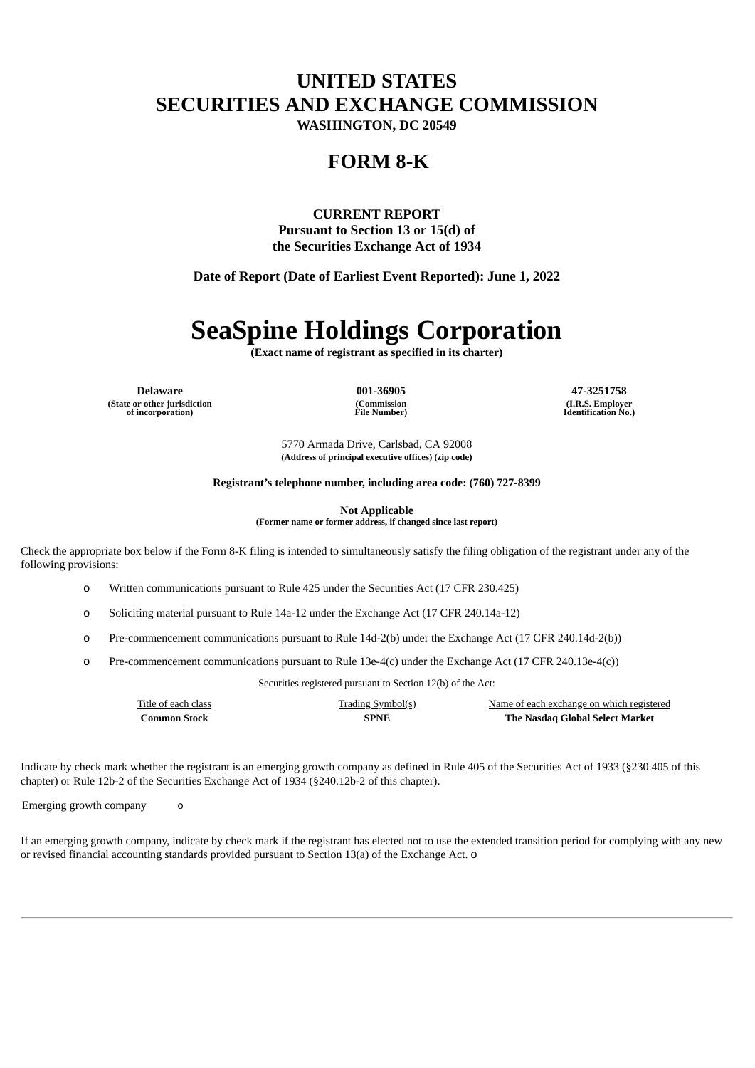## **UNITED STATES SECURITIES AND EXCHANGE COMMISSION**

**WASHINGTON, DC 20549**

### **FORM 8-K**

**CURRENT REPORT Pursuant to Section 13 or 15(d) of the Securities Exchange Act of 1934**

**Date of Report (Date of Earliest Event Reported): June 1, 2022**

# **SeaSpine Holdings Corporation**

**(Exact name of registrant as specified in its charter)**

**Delaware 001-36905 47-3251758 (State or other jurisdiction of incorporation)**

**(Commission File Number)**

**(I.R.S. Employer Identification No.)**

5770 Armada Drive, Carlsbad, CA 92008 **(Address of principal executive offices) (zip code)**

**Registrant's telephone number, including area code: (760) 727-8399**

**Not Applicable**

**(Former name or former address, if changed since last report)**

Check the appropriate box below if the Form 8-K filing is intended to simultaneously satisfy the filing obligation of the registrant under any of the following provisions:

o Written communications pursuant to Rule 425 under the Securities Act (17 CFR 230.425)

o Soliciting material pursuant to Rule 14a-12 under the Exchange Act (17 CFR 240.14a-12)

o Pre-commencement communications pursuant to Rule 14d-2(b) under the Exchange Act (17 CFR 240.14d-2(b))

o Pre-commencement communications pursuant to Rule 13e-4(c) under the Exchange Act (17 CFR 240.13e-4(c))

Securities registered pursuant to Section 12(b) of the Act:

| Title of each class | <b>Trading Symbol(s)</b> | Name of each exchange on which registered |
|---------------------|--------------------------|-------------------------------------------|
| Common Stock        | <b>SPNE</b>              | The Nasdaq Global Select Market           |

Indicate by check mark whether the registrant is an emerging growth company as defined in Rule 405 of the Securities Act of 1933 (§230.405 of this chapter) or Rule 12b-2 of the Securities Exchange Act of 1934 (§240.12b-2 of this chapter).

Emerging growth company o

If an emerging growth company, indicate by check mark if the registrant has elected not to use the extended transition period for complying with any new or revised financial accounting standards provided pursuant to Section 13(a) of the Exchange Act. o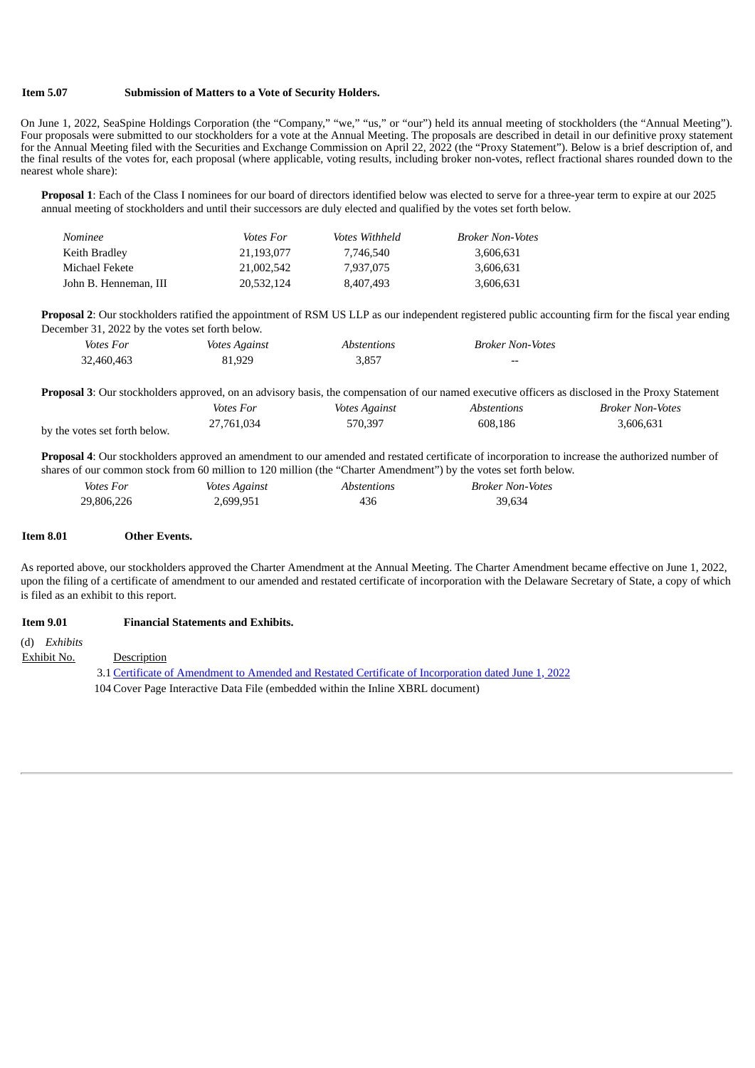#### **Item 5.07 Submission of Matters to a Vote of Security Holders.**

On June 1, 2022, SeaSpine Holdings Corporation (the "Company," "we," "us," or "our") held its annual meeting of stockholders (the "Annual Meeting"). Four proposals were submitted to our stockholders for a vote at the Annual Meeting. The proposals are described in detail in our definitive proxy statement for the Annual Meeting filed with the Securities and Exchange Commission on April 22, 2022 (the "Proxy Statement"). Below is a brief description of, and the final results of the votes for, each proposal (where applicable, voting results, including broker non-votes, reflect fractional shares rounded down to the nearest whole share):

**Proposal 1**: Each of the Class I nominees for our board of directors identified below was elected to serve for a three-year term to expire at our 2025 annual meeting of stockholders and until their successors are duly elected and qualified by the votes set forth below.

| Nominee               | <i>Votes For</i> | <i>Votes Withheld</i> | <b>Broker Non-Votes</b> |
|-----------------------|------------------|-----------------------|-------------------------|
| Keith Bradley         | 21.193.077       | 7.746.540             | 3,606,631               |
| Michael Fekete        | 21.002.542       | 7.937.075             | 3,606,631               |
| John B. Henneman. III | 20,532,124       | 8.407.493             | 3,606,631               |

**Proposal 2**: Our stockholders ratified the appointment of RSM US LLP as our independent registered public accounting firm for the fiscal year ending December 31, 2022 by the votes set forth below.

| Votes For  | <i>Votes Against</i> | Abstentions | <b>Broker Non-Votes</b> |
|------------|----------------------|-------------|-------------------------|
| 32,460,463 | 81,929               | 3.857       | $- -$                   |

|                               |                  |               |             | <b>Proposal 3:</b> Our stockholders approved, on an advisory basis, the compensation of our named executive officers as disclosed in the Proxy Statement |
|-------------------------------|------------------|---------------|-------------|----------------------------------------------------------------------------------------------------------------------------------------------------------|
|                               | <i>Votes For</i> | Votes Against | Abstentions | Broker Non-Votes                                                                                                                                         |
| by the votes set forth below. | 27.761.034       | 570.397       | 608.186     | 3.606.631                                                                                                                                                |

**Proposal 4**: Our stockholders approved an amendment to our amended and restated certificate of incorporation to increase the authorized number of shares of our common stock from 60 million to 120 million (the "Charter Amendment") by the votes set forth below.

| Votes For  | <i>Votes Against</i> | <i>Abstentions</i> | Broker Non-Votes |
|------------|----------------------|--------------------|------------------|
| 29,806,226 | 2,699,951            | 436                | 39.634           |

#### **Item 8.01 Other Events.**

As reported above, our stockholders approved the Charter Amendment at the Annual Meeting. The Charter Amendment became effective on June 1, 2022, upon the filing of a certificate of amendment to our amended and restated certificate of incorporation with the Delaware Secretary of State, a copy of which is filed as an exhibit to this report.

#### **Item 9.01 Financial Statements and Exhibits.**

(d) *Exhibits*

Exhibit No. Description

3.1 Certificate of Amendment to Amended and Restated Certificate of [Incorporation](#page-3-0) dated June 1, 2022 104 Cover Page Interactive Data File (embedded within the Inline XBRL document)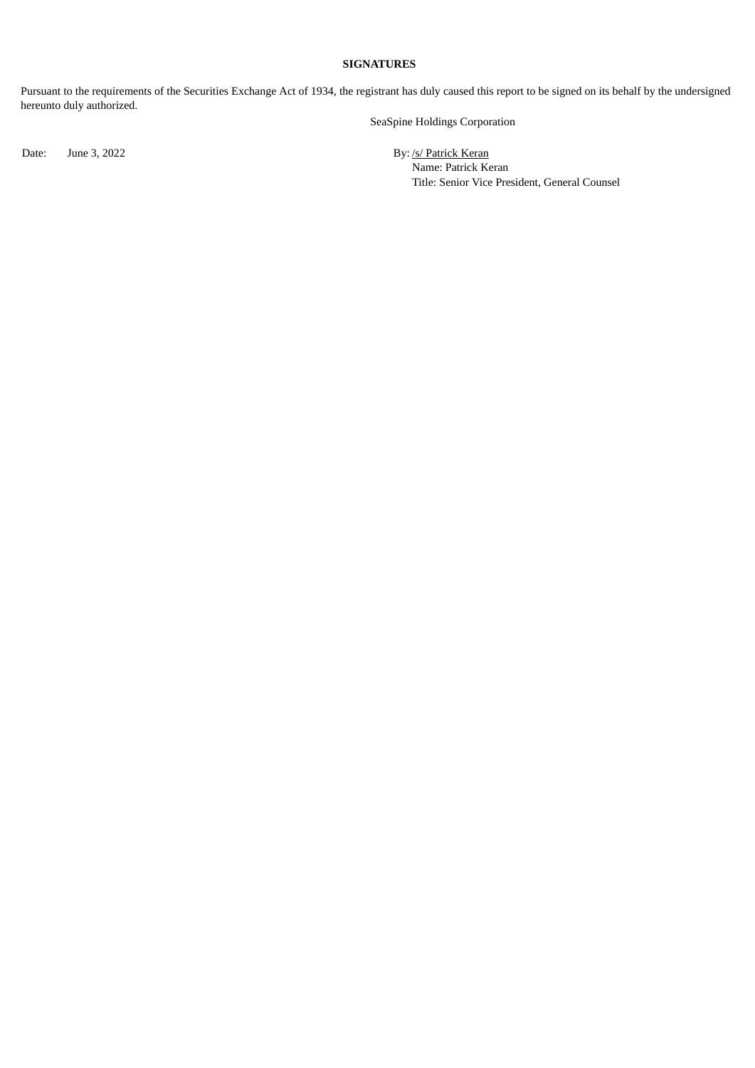#### **SIGNATURES**

Pursuant to the requirements of the Securities Exchange Act of 1934, the registrant has duly caused this report to be signed on its behalf by the undersigned hereunto duly authorized.

SeaSpine Holdings Corporation

Date: June 3, 2022 By: /s/ Patrick Keran

Name: Patrick Keran Title: Senior Vice President, General Counsel